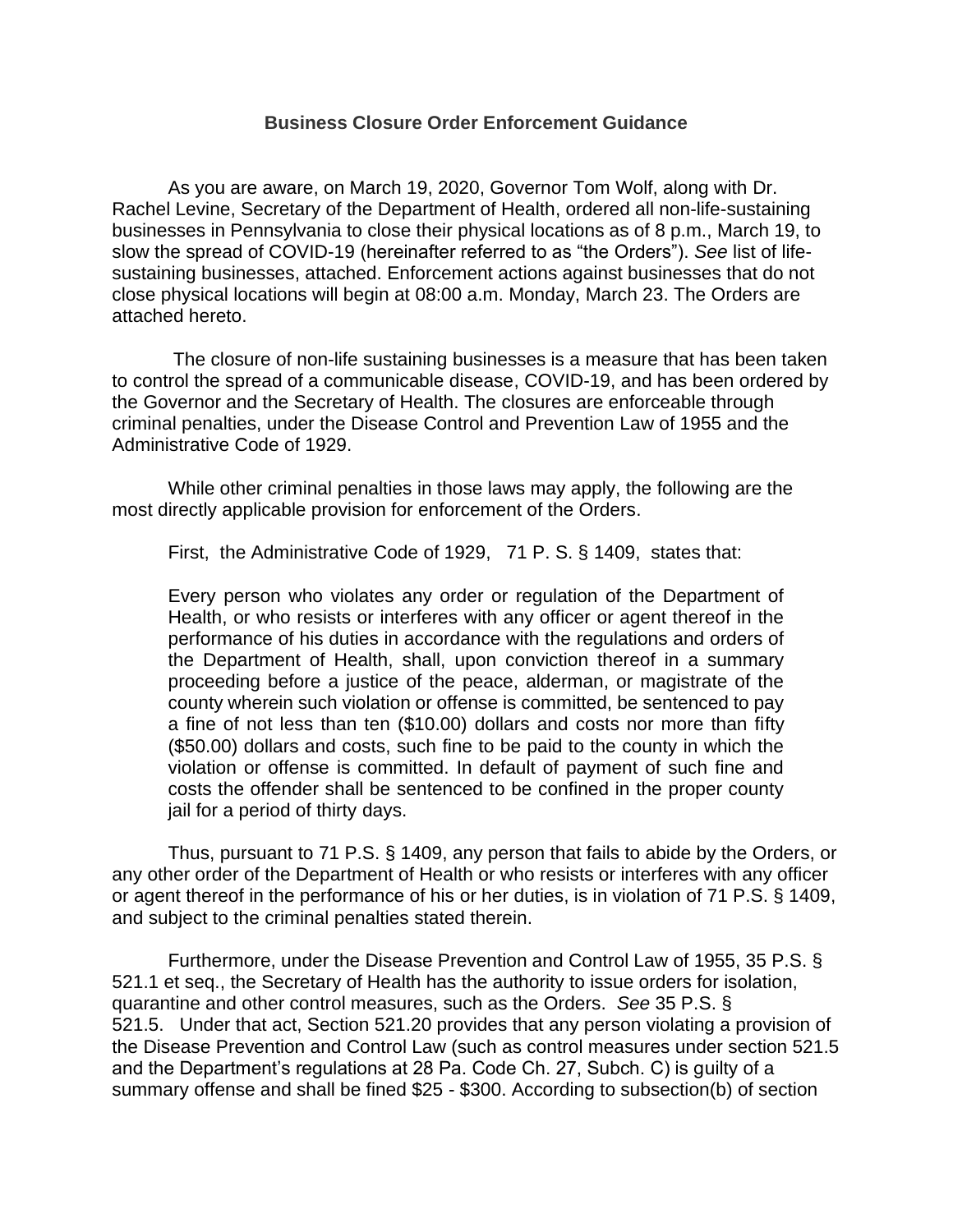#### **Business Closure Order Enforcement Guidance**

As you are aware, on March 19, 2020, Governor Tom Wolf, along with Dr. Rachel Levine, Secretary of the Department of Health, ordered all non-life-sustaining businesses in Pennsylvania to close their physical locations as of 8 p.m., March 19, to slow the spread of COVID-19 (hereinafter referred to as "the Orders"). *See* list of lifesustaining businesses, attached. Enforcement actions against businesses that do not close physical locations will begin at 08:00 a.m. Monday, March 23. The Orders are attached hereto.

The closure of non-life sustaining businesses is a measure that has been taken to control the spread of a communicable disease, COVID-19, and has been ordered by the Governor and the Secretary of Health. The closures are enforceable through criminal penalties, under the Disease Control and Prevention Law of 1955 and the Administrative Code of 1929.

While other criminal penalties in those laws may apply, the following are the most directly applicable provision for enforcement of the Orders.

First, the Administrative Code of 1929, 71 P. S. § 1409, states that:

Every person who violates any order or regulation of the Department of Health, or who resists or interferes with any officer or agent thereof in the performance of his duties in accordance with the regulations and orders of the Department of Health, shall, upon conviction thereof in a summary proceeding before a justice of the peace, alderman, or magistrate of the county wherein such violation or offense is committed, be sentenced to pay a fine of not less than ten (\$10.00) dollars and costs nor more than fifty (\$50.00) dollars and costs, such fine to be paid to the county in which the violation or offense is committed. In default of payment of such fine and costs the offender shall be sentenced to be confined in the proper county jail for a period of thirty days.

Thus, pursuant to 71 P.S. § 1409, any person that fails to abide by the Orders, or any other order of the Department of Health or who resists or interferes with any officer or agent thereof in the performance of his or her duties, is in violation of 71 P.S. § 1409, and subject to the criminal penalties stated therein.

Furthermore, under the Disease Prevention and Control Law of 1955, 35 P.S. § 521.1 et seq., the Secretary of Health has the authority to issue orders for isolation, quarantine and other control measures, such as the Orders. *See* 35 P.S. § 521.5. Under that act, Section 521.20 provides that any person violating a provision of the Disease Prevention and Control Law (such as control measures under section 521.5 and the Department's regulations at 28 Pa. Code Ch. 27, Subch. C) is guilty of a summary offense and shall be fined \$25 - \$300. According to subsection(b) of section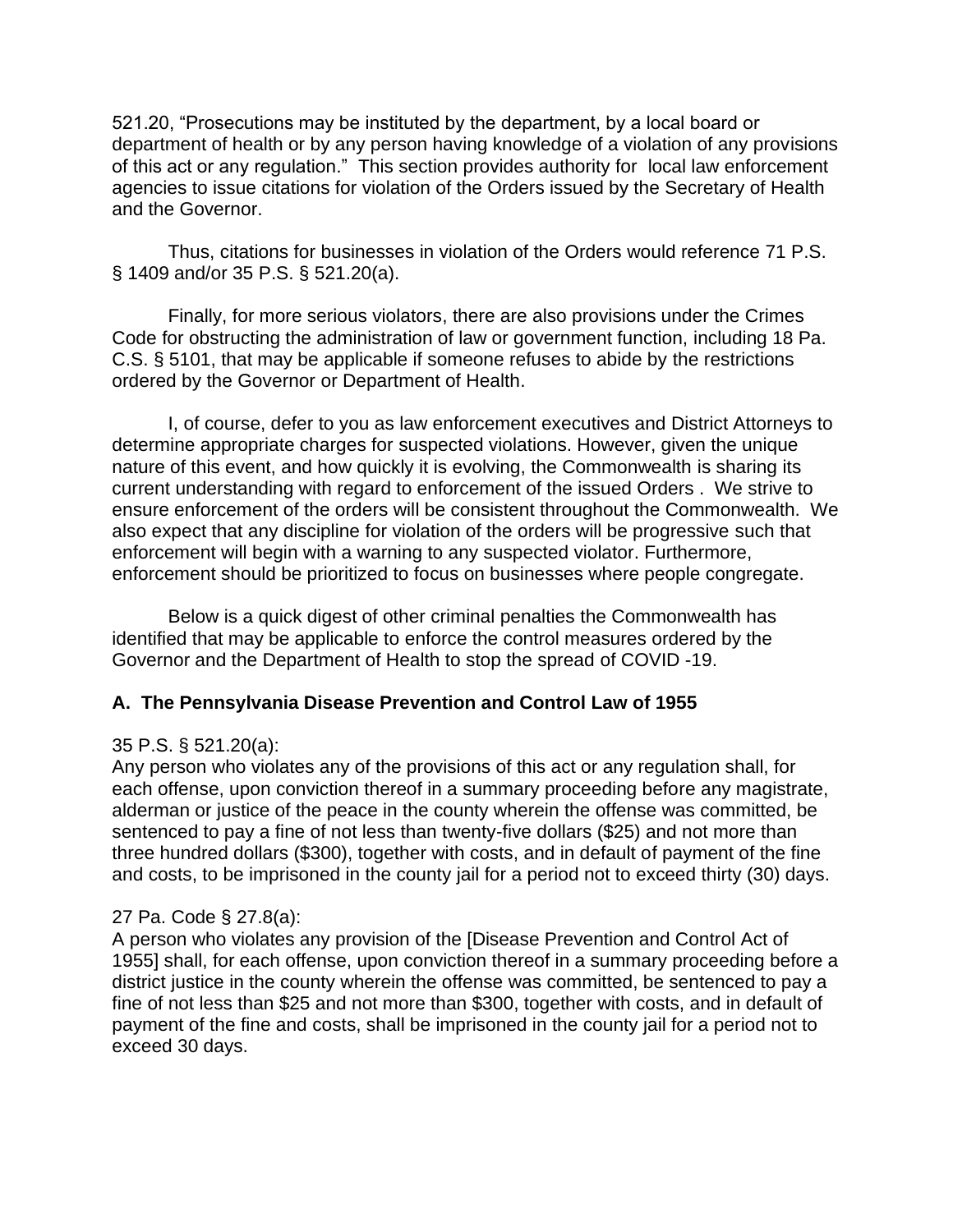521.20, "Prosecutions may be instituted by the department, by a local board or department of health or by any person having knowledge of a violation of any provisions of this act or any regulation." This section provides authority for local law enforcement agencies to issue citations for violation of the Orders issued by the Secretary of Health and the Governor.

Thus, citations for businesses in violation of the Orders would reference 71 P.S. § 1409 and/or 35 P.S. § 521.20(a).

Finally, for more serious violators, there are also provisions under the Crimes Code for obstructing the administration of law or government function, including 18 Pa. C.S. § 5101, that may be applicable if someone refuses to abide by the restrictions ordered by the Governor or Department of Health.

I, of course, defer to you as law enforcement executives and District Attorneys to determine appropriate charges for suspected violations. However, given the unique nature of this event, and how quickly it is evolving, the Commonwealth is sharing its current understanding with regard to enforcement of the issued Orders . We strive to ensure enforcement of the orders will be consistent throughout the Commonwealth. We also expect that any discipline for violation of the orders will be progressive such that enforcement will begin with a warning to any suspected violator. Furthermore, enforcement should be prioritized to focus on businesses where people congregate.

Below is a quick digest of other criminal penalties the Commonwealth has identified that may be applicable to enforce the control measures ordered by the Governor and the Department of Health to stop the spread of COVID -19.

## **A. The Pennsylvania Disease Prevention and Control Law of 1955**

### 35 P.S. § 521.20(a):

Any person who violates any of the provisions of this act or any regulation shall, for each offense, upon conviction thereof in a summary proceeding before any magistrate, alderman or justice of the peace in the county wherein the offense was committed, be sentenced to pay a fine of not less than twenty-five dollars (\$25) and not more than three hundred dollars (\$300), together with costs, and in default of payment of the fine and costs, to be imprisoned in the county jail for a period not to exceed thirty (30) days.

### 27 Pa. Code § 27.8(a):

A person who violates any provision of the [Disease Prevention and Control Act of 1955] shall, for each offense, upon conviction thereof in a summary proceeding before a district justice in the county wherein the offense was committed, be sentenced to pay a fine of not less than \$25 and not more than \$300, together with costs, and in default of payment of the fine and costs, shall be imprisoned in the county jail for a period not to exceed 30 days.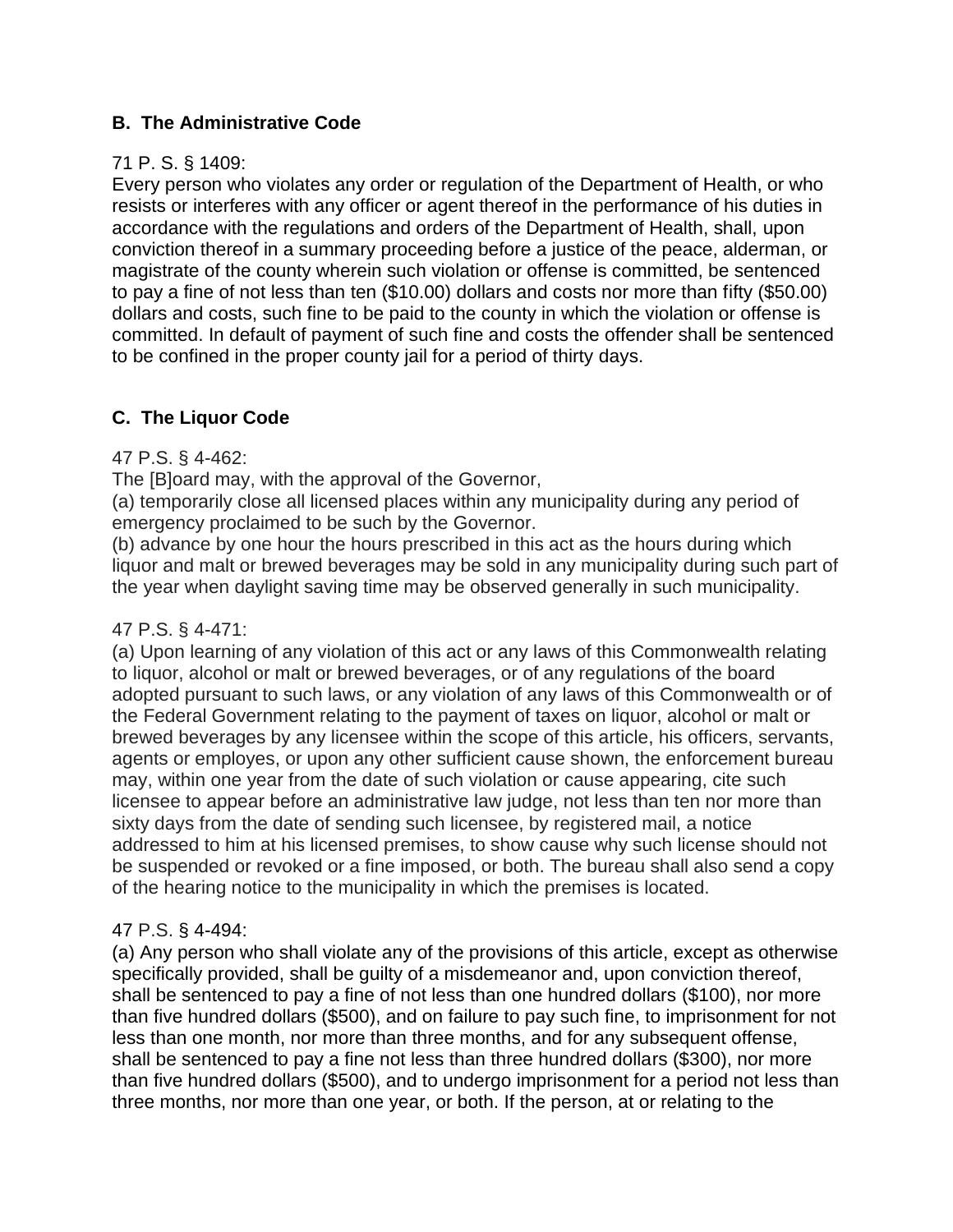## **B. The Administrative Code**

### 71 P. S. § 1409:

Every person who violates any order or regulation of the Department of Health, or who resists or interferes with any officer or agent thereof in the performance of his duties in accordance with the regulations and orders of the Department of Health, shall, upon conviction thereof in a summary proceeding before a justice of the peace, alderman, or magistrate of the county wherein such violation or offense is committed, be sentenced to pay a fine of not less than ten (\$10.00) dollars and costs nor more than fifty (\$50.00) dollars and costs, such fine to be paid to the county in which the violation or offense is committed. In default of payment of such fine and costs the offender shall be sentenced to be confined in the proper county jail for a period of thirty days.

# **C. The Liquor Code**

### 47 P.S. § 4-462:

The [B]oard may, with the approval of the Governor,

(a) temporarily close all licensed places within any municipality during any period of emergency proclaimed to be such by the Governor.

(b) advance by one hour the hours prescribed in this act as the hours during which liquor and malt or brewed beverages may be sold in any municipality during such part of the year when daylight saving time may be observed generally in such municipality.

## 47 P.S. § 4-471:

(a) Upon learning of any violation of this act or any laws of this Commonwealth relating to liquor, alcohol or malt or brewed beverages, or of any regulations of the board adopted pursuant to such laws, or any violation of any laws of this Commonwealth or of the Federal Government relating to the payment of taxes on liquor, alcohol or malt or brewed beverages by any licensee within the scope of this article, his officers, servants, agents or employes, or upon any other sufficient cause shown, the enforcement bureau may, within one year from the date of such violation or cause appearing, cite such licensee to appear before an administrative law judge, not less than ten nor more than sixty days from the date of sending such licensee, by registered mail, a notice addressed to him at his licensed premises, to show cause why such license should not be suspended or revoked or a fine imposed, or both. The bureau shall also send a copy of the hearing notice to the municipality in which the premises is located.

## 47 P.S. § 4-494:

(a) Any person who shall violate any of the provisions of this article, except as otherwise specifically provided, shall be guilty of a misdemeanor and, upon conviction thereof, shall be sentenced to pay a fine of not less than one hundred dollars (\$100), nor more than five hundred dollars (\$500), and on failure to pay such fine, to imprisonment for not less than one month, nor more than three months, and for any subsequent offense, shall be sentenced to pay a fine not less than three hundred dollars (\$300), nor more than five hundred dollars (\$500), and to undergo imprisonment for a period not less than three months, nor more than one year, or both. If the person, at or relating to the